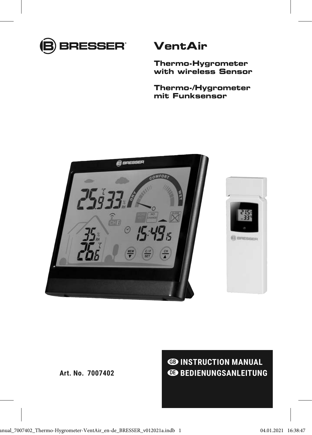

## **VentAir**

**Thermo-Hygrometer with wireless Sensor**

**Thermo-/Hygrometer mit Funksensor**



**ED INSTRUCTION MANUAL EDENUNGSANLEITUNG**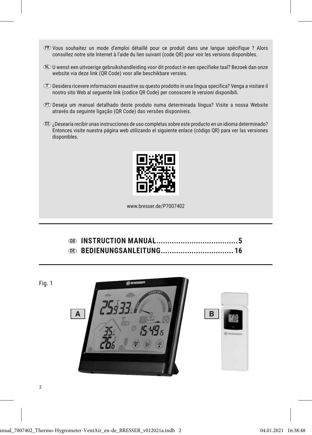- FR Vous souhaitez un mode d'emploi détaillé pour ce produit dans une langue spécifique ? Alors consultez notre site Internet à l'aide du lien suivant (code QR) pour voir les versions disponibles.
- NL U wenst een uitvoerige gebruikshandleiding voor dit product in een specifieke taal? Bezoek dan onze website via deze link (QR Code) voor alle beschikbare versies.
- IT Desidera ricevere informazioni esaustive su questo prodotto in una lingua specifica? Venga a visitare il nostro sito Web al seguente link (codice QR Code) per conoscere le versioni disponibili.
- PT Deseja um manual detalhado deste produto numa determinada língua? Visite a nossa Website através da seguinte ligação (QR Code) das versões disponíveis.
- ES ¿Desearía recibir unas instrucciones de uso completas sobre este producto en un idioma determinado? Entonces visite nuestra página web utilizando el siguiente enlace (código QR) para ver las versiones disponibles.



www.bresser.de/P7007402

Fig. 1

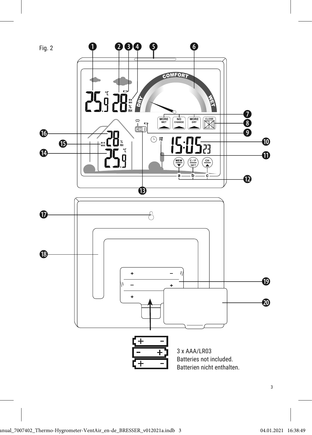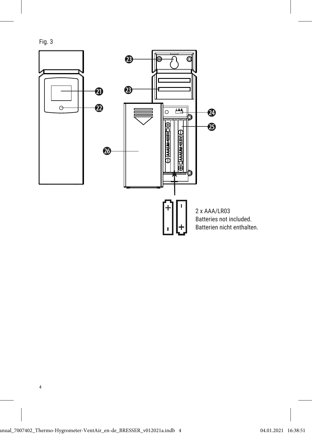Fig. 3

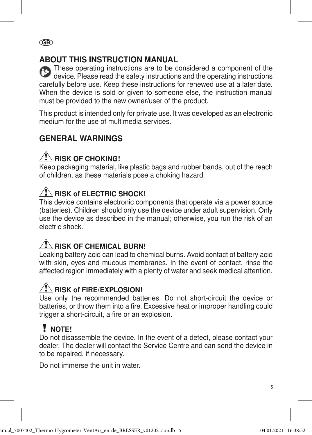## ABOUT THIS INSTRUCTION MANUAL

These operating instructions are to be considered a component of the device. Please read the safety instructions and the operating instructions carefully before use. Keep these instructions for renewed use at a later date. When the device is sold or given to someone else, the instruction manual must be provided to the new owner/user of the product.

This product is intended only for private use. It was developed as an electronic medium for the use of multimedia services.

## GENERAL WARNINGS

# **RISK OF CHOKING!**

Keep packaging material, like plastic bags and rubber bands, out of the reach of children, as these materials pose a choking hazard.

# $\mathcal{P}$  RISK of ELECTRIC SHOCK!

This device contains electronic components that operate via a power source (batteries). Children should only use the device under adult supervision. Only use the device as described in the manual; otherwise, you run the risk of an electric shock.

# $\sqrt{N}$  RISK OF CHEMICAL BURN!

Leaking battery acid can lead to chemical burns. Avoid contact of battery acid with skin, eyes and mucous membranes. In the event of contact, rinse the affected region immediately with a plenty of water and seek medical attention.

# RISK of FIRE/EXPLOSION!

Use only the recommended batteries. Do not short-circuit the device or batteries, or throw them into a fire. Excessive heat or improper handling could trigger a short-circuit, a fire or an explosion.

# $\mathbf{N}$  NOTE!

Do not disassemble the device. In the event of a defect, please contact your dealer. The dealer will contact the Service Centre and can send the device in to be repaired, if necessary.

Do not immerse the unit in water.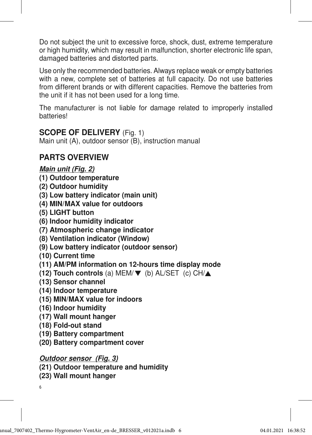Do not subject the unit to excessive force, shock, dust, extreme temperature or high humidity, which may result in malfunction, shorter electronic life span, damaged batteries and distorted parts.

Use only the recommended batteries. Always replace weak or empty batteries with a new, complete set of batteries at full capacity. Do not use batteries from different brands or with different capacities. Remove the batteries from the unit if it has not been used for a long time.

The manufacturer is not liable for damage related to improperly installed batteries!

### SCOPE OF DELIVERY (Fig. 1)

Main unit (A), outdoor sensor (B), instruction manual

## PARTS OVERVIEW

### Main unit (Fig. 2)

- (1) Outdoor temperature
- (2) Outdoor humidity
- (3) Low battery indicator (main unit)
- (4) MIN/MAX value for outdoors
- (5) LIGHT button
- (6) Indoor humidity indicator
- (7) Atmospheric change indicator
- (8) Ventilation indicator (Window)
- (9) Low battery indicator (outdoor sensor)
- (10) Current time
- (11) AM/PM information on 12-hours time display mode
- (12) Touch controls (a) MEM/ $\nabla$  (b) AL/SET (c) CH/ $\blacktriangle$
- (13) Sensor channel
- (14) Indoor temperature
- (15) MIN/MAX value for indoors
- (16) Indoor humidity
- (17) Wall mount hanger
- (18) Fold-out stand
- (19) Battery compartment
- (20) Battery compartment cover

### Outdoor sensor (Fig. 3)

- (21) Outdoor temperature and humidity
- (23) Wall mount hanger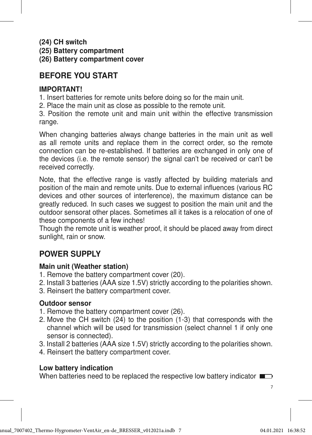(24) CH switch

(25) Battery compartment

(26) Battery compartment cover

## BEFORE YOU START

### IMPORTANT!

1. Insert batteries for remote units before doing so for the main unit.

2. Place the main unit as close as possible to the remote unit.

3. Position the remote unit and main unit within the effective transmission range.

When changing batteries always change batteries in the main unit as well as all remote units and replace them in the correct order, so the remote connection can be re-established. If batteries are exchanged in only one of the devices (i.e. the remote sensor) the signal can't be received or can't be received correctly.

Note, that the effective range is vastly affected by building materials and position of the main and remote units. Due to external influences (various RC devices and other sources of interference), the maximum distance can be greatly reduced. In such cases we suggest to position the main unit and the outdoor sensorat other places. Sometimes all it takes is a relocation of one of these components of a few inches!

Though the remote unit is weather proof, it should be placed away from direct sunlight, rain or snow.

## POWER SUPPLY

### Main unit (Weather station)

- 1. Remove the battery compartment cover (20).
- 2. Install 3 batteries (AAA size 1.5V) strictly according to the polarities shown.
- 3. Reinsert the battery compartment cover.

### Outdoor sensor

- 1. Remove the battery compartment cover (26).
- 2. Move the CH switch (24) to the position (1-3) that corresponds with the channel which will be used for transmission (select channel 1 if only one sensor is connected).
- 3. Install 2 batteries (AAA size 1.5V) strictly according to the polarities shown.
- 4. Reinsert the battery compartment cover.

### Low battery indication

When batteries need to be replaced the respective low battery indicator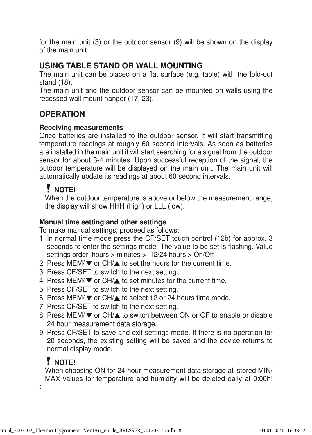for the main unit (3) or the outdoor sensor (9) will be shown on the display of the main unit.

### USING TABLE STAND OR WALL MOUNTING

The main unit can be placed on a flat surface (e.g. table) with the fold-out stand (18).

The main unit and the outdoor sensor can be mounted on walls using the recessed wall mount hanger (17, 23).

### **OPERATION**

#### Receiving measurements

Once batteries are installed to the outdoor sensor, it will start transmitting temperature readings at roughly 60 second intervals. As soon as batteries are installed in the main unit it will start searching for a signal from the outdoor sensor for about 3-4 minutes. Upon successful reception of the signal, the outdoor temperature will be displayed on the main unit. The main unit will automatically update its readings at about 60 second intervals.

## **V** NOTE!

 When the outdoor temperature is above or below the measurement range, the display will show HHH (high) or LLL (low).

#### Manual time setting and other settings

To make manual settings, proceed as follows:

- 1. In normal time mode press the CF/SET touch control (12b) for approx. 3 seconds to enter the settings mode. The value to be set is flashing. Value settings order: hours > minutes > 12/24 hours > On/Off
- 2. Press MEM/▼ or CH/▲ to set the hours for the current time.
- 3. Press CF/SET to switch to the next setting.
- 4. Press MEM/ $\nabla$  or CH/ $\blacktriangle$  to set minutes for the current time.
- 5. Press CF/SET to switch to the next setting.
- 6. Press MEM/▼ or CH/▲ to select 12 or 24 hours time mode.
- 7. Press CF/SET to switch to the next setting.
- 8. Press MEM/ ▼ or CH/▲ to switch between ON or OF to enable or disable 24 hour measurement data storage.
- 9. Press CF/SET to save and exit settings mode. If there is no operation for 20 seconds, the existing setting will be saved and the device returns to normal display mode.

## **V** NOTE!

When choosing ON for 24 hour measurement data storage all stored MIN/ MAX values for temperature and humidity will be deleted daily at 0:00h!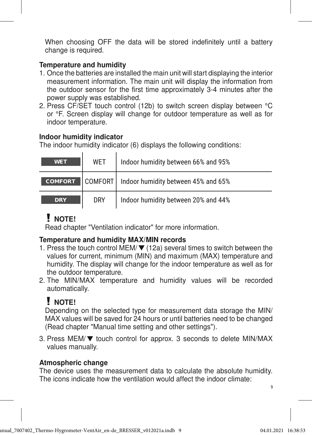When choosing OFF the data will be stored indefinitely until a battery change is required.

#### Temperature and humidity

- 1. Once the batteries are installed the main unit will start displaying the interior measurement information. The main unit will display the information from the outdoor sensor for the first time approximately 3-4 minutes after the power supply was established.
- 2. Press CF/SET touch control (12b) to switch screen display between °C or °F. Screen display will change for outdoor temperature as well as for indoor temperature.

### Indoor humidity indicator

The indoor humidity indicator (6) displays the following conditions:

| <b>WET</b>     | WET        | Indoor humidity between 66% and 95%           |
|----------------|------------|-----------------------------------------------|
| <b>COMFORT</b> |            | COMFORT   Indoor humidity between 45% and 65% |
| <b>DRY</b>     | <b>DRY</b> | Indoor humidity between 20% and 44%           |

# $\mathbf{V}$  NOTE!

Read chapter "Ventilation indicator" for more information.

### Temperature and humidity MAX/MIN records

- 1. Press the touch control MEM/ $\nabla$  (12a) several times to switch between the values for current, minimum (MIN) and maximum (MAX) temperature and humidity. The display will change for the indoor temperature as well as for the outdoor temperature.
- 2. The MIN/MAX temperature and humidity values will be recorded automatically.

# **J** NOTE!

 Depending on the selected type for measurement data storage the MIN/ MAX values will be saved for 24 hours or until batteries need to be changed (Read chapter "Manual time setting and other settings").

3. Press MEM/ $\nabla$  touch control for approx. 3 seconds to delete MIN/MAX values manually.

### Atmospheric change

The device uses the measurement data to calculate the absolute humidity. The icons indicate how the ventilation would affect the indoor climate: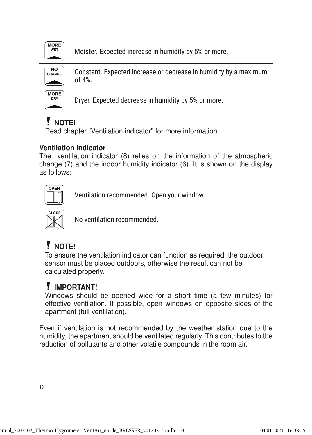

Moister. Expected increase in humidity by 5% or more.



Constant. Expected increase or decrease in humidity by a maximum of 4%.



Dryer. Expected decrease in humidity by 5% or more.

# **! NOTE!**

Read chapter "Ventilation indicator" for more information.

### Ventilation indicator

The ventilation indicator (8) relies on the information of the atmospheric change (7) and the indoor humidity indicator (6). It is shown on the display as follows: COMFORT DRY WET



Ventilation recommended. Open your window.



No ventilation recommended.

# I NOTE!

 To ensure the ventilation indicator can function as required, the outdoor sensor must be placed outdoors, otherwise the result can not be calculated properly.

# **I** IMPORTANT!

 Windows should be opened wide for a short time (a few minutes) for effective ventilation. If possible, open windows on opposite sides of the apartment (full ventilation).

Even if ventilation is not recommended by the weather station due to the humidity, the apartment should be ventilated regularly. This contributes to the reduction of pollutants and other volatile compounds in the room air.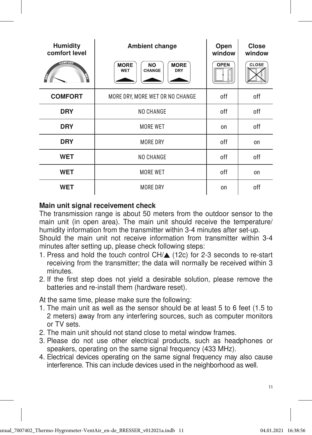| <b>Humidity</b><br>comfort level | <b>Ambient change</b>                                           | Open<br>window | <b>Close</b><br>window |
|----------------------------------|-----------------------------------------------------------------|----------------|------------------------|
| <b>GOMFORD</b><br>₿<br>g         | <b>MORE</b><br><b>MORE</b><br><b>NO</b><br>WET<br>CHANGE<br>DRY | <b>OPEN</b>    | CLOSE                  |
| <b>COMFORT</b>                   | MORE DRY, MORE WET OR NO CHANGE                                 | off            | off                    |
| <b>DRY</b>                       | NO CHANGE                                                       | off            | off                    |
| <b>DRY</b>                       | MORE WET                                                        | on             | off                    |
| <b>DRY</b>                       | MORE DRY                                                        | off            | on                     |
| <b>WET</b>                       | NO CHANGE                                                       | off            | off                    |
| <b>WET</b>                       | MORE WET                                                        | off            | on                     |
| <b>WET</b>                       | <b>MORE DRY</b>                                                 | on             | off                    |

#### Main unit signal receivement check

The transmission range is about 50 meters from the outdoor sensor to the main unit (in open area). The main unit should receive the temperature/ humidity information from the transmitter within 3-4 minutes after set-up.

Should the main unit not receive information from transmitter within 3-4 minutes after setting up, please check following steps:

- 1. Press and hold the touch control CH/ $\triangle$  (12c) for 2-3 seconds to re-start receiving from the transmitter; the data will normally be received within 3 minutes.
- 2. If the first step does not yield a desirable solution, please remove the batteries and re-install them (hardware reset).

At the same time, please make sure the following:

- 1. The main unit as well as the sensor should be at least 5 to 6 feet (1.5 to 2 meters) away from any interfering sources, such as computer monitors or TV sets.
- 2. The main unit should not stand close to metal window frames.
- 3. Please do not use other electrical products, such as headphones or speakers, operating on the same signal frequency (433 MHz).
- 4. Electrical devices operating on the same signal frequency may also cause interference. This can include devices used in the neighborhood as well.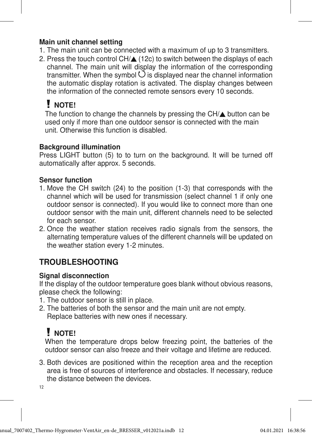#### Main unit channel setting

- 1. The main unit can be connected with a maximum of up to 3 transmitters.
- 2. Press the touch control  $CH/A$  (12c) to switch between the displays of each channel. The main unit will display the information of the corresponding transmitter. When the symbol  $\bigcirc$  is displayed near the channel information the automatic display rotation is activated. The display changes between the information of the connected remote sensors every 10 seconds.

# **! NOTE!**

The function to change the channels by pressing the  $CH/\spadesuit$  button can be used only if more than one outdoor sensor is connected with the main unit. Otherwise this function is disabled.

### Background illumination

Press LIGHT button (5) to to turn on the background. It will be turned off automatically after approx. 5 seconds.

### Sensor function

- 1. Move the CH switch (24) to the position (1-3) that corresponds with the channel which will be used for transmission (select channel 1 if only one outdoor sensor is connected). If you would like to connect more than one outdoor sensor with the main unit, different channels need to be selected for each sensor.
- 2. Once the weather station receives radio signals from the sensors, the alternating temperature values of the different channels will be updated on the weather station every 1-2 minutes.

## TROUBLESHOOTING

### Signal disconnection

If the display of the outdoor temperature goes blank without obvious reasons, please check the following:

- 1. The outdoor sensor is still in place.
- 2. The batteries of both the sensor and the main unit are not empty. Replace batteries with new ones if necessary.

# I NOTE!

When the temperature drops below freezing point, the batteries of the outdoor sensor can also freeze and their voltage and lifetime are reduced.

3. Both devices are positioned within the reception area and the reception area is free of sources of interference and obstacles. If necessary, reduce the distance between the devices.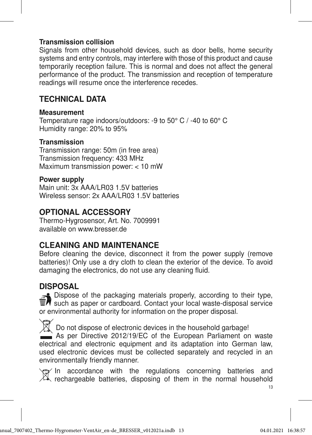#### Transmission collision

Signals from other household devices, such as door bells, home security systems and entry controls, may interfere with those of this product and cause temporarily reception failure. This is normal and does not affect the general performance of the product. The transmission and reception of temperature readings will resume once the interference recedes.

## TECHNICAL DATA

#### Measurement

Temperature rage indoors/outdoors: -9 to 50° C / -40 to 60° C Humidity range: 20% to 95%

#### Transmission

Transmission range: 50m (in free area) Transmission frequency: 433 MHz Maximum transmission power: < 10 mW

#### Power supply

Main unit: 3x AAA/LR03 1.5V batteries Wireless sensor: 2x AAA/LR03 1.5V batteries

### OPTIONAL ACCESSORY

Thermo-Hygrosensor, Art. No. 7009991 available on www.bresser.de

### CI FANING AND MAINTFNANCF

Before cleaning the device, disconnect it from the power supply (remove batteries)! Only use a dry cloth to clean the exterior of the device. To avoid damaging the electronics, do not use any cleaning fluid.

### DISPOSAL

 $\approx$  Dispose of the packaging materials properly, according to their type,  $\overline{\mathbb{F}}$  such as paper or cardboard. Contact your local waste-disposal service or environmental authority for information on the proper disposal.

Do not dispose of electronic devices in the household garbage! As per Directive 2012/19/EC of the European Parliament on waste electrical and electronic equipment and its adaptation into German law, used electronic devices must be collected separately and recycled in an

environmentally friendly manner.

 $\Rightarrow$  In accordance with the regulations concerning batteries and  $\mathbb{Z}_\mathbb{R}$  rechargeable batteries, disposing of them in the normal household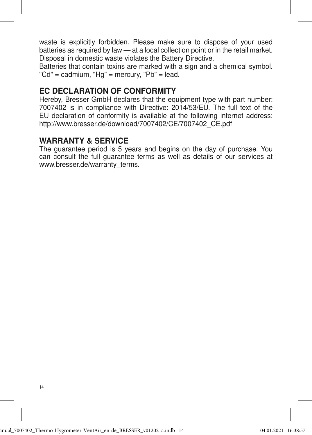waste is explicitly forbidden. Please make sure to dispose of your used batteries as required by law — at a local collection point or in the retail market. Disposal in domestic waste violates the Battery Directive.

Batteries that contain toxins are marked with a sign and a chemical symbol. "Cd" = cadmium, "Hg" = mercury, "Pb" = lead.

### EC DECLARATION OF CONFORMITY

Hereby, Bresser GmbH declares that the equipment type with part number: 7007402 is in compliance with Directive: 2014/53/EU. The full text of the EU declaration of conformity is available at the following internet address: http://www.bresser.de/download/7007402/CE/7007402\_CE.pdf

### WARRANTY & SERVICE

The guarantee period is 5 years and begins on the day of purchase. You can consult the full guarantee terms as well as details of our services at www.bresser.de/warranty\_terms.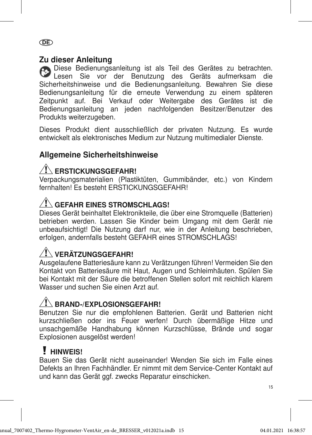### DE

### Zu dieser Anleitung

Diese Bedienungsanleitung ist als Teil des Gerätes zu betrachten. Lesen Sie vor der Benutzung des Geräts aufmerksam die Sicherheitshinweise und die Bedienungsanleitung. Bewahren Sie diese Bedienungsanleitung für die erneute Verwendung zu einem späteren Zeitpunkt auf. Bei Verkauf oder Weitergabe des Gerätes ist die Bedienungsanleitung an jeden nachfolgenden Besitzer/Benutzer des Produkts weiterzugeben.

Dieses Produkt dient ausschließlich der privaten Nutzung. Es wurde entwickelt als elektronisches Medium zur Nutzung multimedialer Dienste.

## Allgemeine Sicherheitshinweise

## $\sqrt{N}$  erstickungsgefahr!

Verpackungsmaterialien (Plastiktüten, Gummibänder, etc.) von Kindern fernhalten! Es besteht ERSTICKLINGSGEFAHR!

# $\sqrt{N}$  gefahr eines stromschlags!

Dieses Gerät beinhaltet Elektronikteile, die über eine Stromquelle (Batterien) betrieben werden. Lassen Sie Kinder beim Umgang mit dem Gerät nie unbeaufsichtigt! Die Nutzung darf nur, wie in der Anleitung beschrieben, erfolgen, andernfalls besteht GEFAHR eines STROMSCHLAGS!

# $\bigwedge$  verätzungsgefahr!

Ausgelaufene Batteriesäure kann zu Verätzungen führen! Vermeiden Sie den Kontakt von Batteriesäure mit Haut, Augen und Schleimhäuten. Spülen Sie bei Kontakt mit der Säure die betroffenen Stellen sofort mit reichlich klarem Wasser und suchen Sie einen Arzt auf.

# $\sqrt{N}$  Brand-/Explosionsgefahr!

Benutzen Sie nur die empfohlenen Batterien. Gerät und Batterien nicht kurzschließen oder ins Feuer werfen! Durch übermäßige Hitze und unsachgemäße Handhabung können Kurzschlüsse, Brände und sogar Explosionen ausgelöst werden!

## **HINWEIS!**

Bauen Sie das Gerät nicht auseinander! Wenden Sie sich im Falle eines Defekts an Ihren Fachhändler. Er nimmt mit dem Service-Center Kontakt auf und kann das Gerät ggf. zwecks Reparatur einschicken.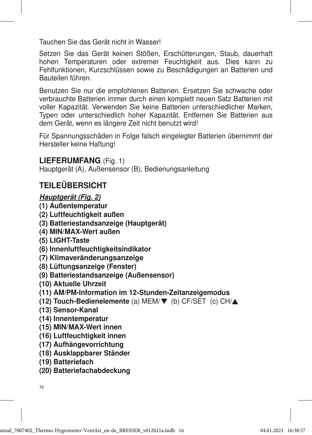Tauchen Sie das Gerät nicht in Wasser!

Setzen Sie das Gerät keinen Stößen, Erschütterungen, Staub, dauerhaft hohen Temperaturen oder extremer Feuchtigkeit aus. Dies kann zu Fehlfunktionen, Kurzschlüssen sowie zu Beschädigungen an Batterien und Bauteilen führen.

Benutzen Sie nur die empfohlenen Batterien. Ersetzen Sie schwache oder verbrauchte Batterien immer durch einen komplett neuen Satz Batterien mit voller Kapazität. Verwenden Sie keine Batterien unterschiedlicher Marken, Typen oder unterschiedlich hoher Kapazität. Entfernen Sie Batterien aus dem Gerät, wenn es längere Zeit nicht benutzt wird!

Für Spannungsschäden in Folge falsch eingelegter Batterien übernimmt der Hersteller keine Haftung!

### LIEFERUMFANG (Fig. 1)

Hauptgerät (A), Außensensor (B), Bedienungsanleitung

## TEILEÜBERSICHT

### Hauptgerät (Fig. 2)

- (1) Außentemperatur
- (2) Luftfeuchtigkeit außen
- (3) Batteriestandsanzeige (Hauptgerät)
- (4) MIN/MAX-Wert außen
- (5) LIGHT-Taste
- (6) Innenluftfeuchtigkeitsindikator
- (7) Klimaveränderungsanzeige
- (8) Lüftungsanzeige (Fenster)
- (9) Batteriestandsanzeige (Außensensor)
- (10) Aktuelle Uhrzeit
- (11) AM/PM-Information im 12-Stunden-Zeitanzeigemodus
- (12) Touch-Bedienelemente (a) MEM/ $\nabla$  (b) CF/SET (c) CH/ $\blacktriangle$
- (13) Sensor-Kanal
- (14) Innentemperatur
- (15) MIN/MAX-Wert innen
- (16) Luftfeuchtigkeit innen
- (17) Aufhängevorrichtung
- (18) Ausklappbarer Ständer
- (19) Batteriefach
- (20) Batteriefachabdeckung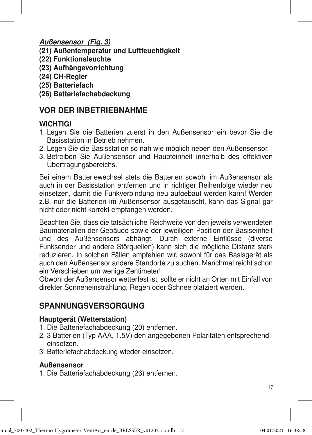### Außensensor (Fig. 3)

- (21) Außentemperatur und Luftfeuchtigkeit
- (22) Funktionsleuchte
- (23) Aufhängevorrichtung
- (24) CH-Regler
- (25) Batteriefach
- (26) Batteriefachabdeckung

## VOR DER INBETRIEBNAHME

### **WICHTIG!**

- 1. Legen Sie die Batterien zuerst in den Außensensor ein bevor Sie die Basisstation in Betrieb nehmen.
- 2. Legen Sie die Basisstation so nah wie möglich neben den Außensensor.
- 3. Betreiben Sie Außensensor und Haupteinheit innerhalb des effektiven Übertragungsbereichs.

Bei einem Batteriewechsel stets die Batterien sowohl im Außensensor als auch in der Basisstation entfernen und in richtiger Reihenfolge wieder neu einsetzen, damit die Funkverbindung neu aufgebaut werden kann! Werden z.B. nur die Batterien im Außensensor ausgetauscht, kann das Signal gar nicht oder nicht korrekt empfangen werden.

Beachten Sie, dass die tatsächliche Reichweite von den jeweils verwendeten Baumaterialien der Gebäude sowie der jeweiligen Position der Basiseinheit und des Außensensors abhängt. Durch externe Einflüsse (diverse Funksender und andere Störquellen) kann sich die mögliche Distanz stark reduzieren. In solchen Fällen empfehlen wir, sowohl für das Basisgerät als auch den Außensensor andere Standorte zu suchen. Manchmal reicht schon ein Verschieben um wenige Zentimeter!

Obwohl der Außensensor wetterfest ist, sollte er nicht an Orten mit Einfall von direkter Sonneneinstrahlung, Regen oder Schnee platziert werden.

## SPANNUNGSVERSORGUNG

### Hauptgerät (Wetterstation)

- 1. Die Batteriefachabdeckung (20) entfernen.
- 2. 3 Batterien (Typ AAA, 1.5V) den angegebenen Polaritäten entsprechend einsetzen.
- 3. Batteriefachabdeckung wieder einsetzen.

### **Außensensor**

1. Die Batteriefachabdeckung (26) entfernen.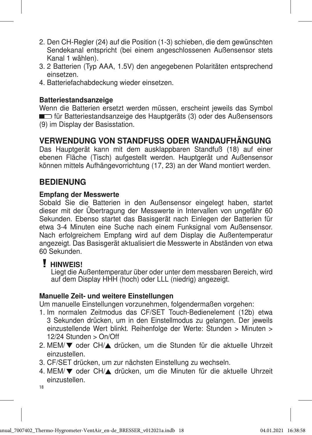- 2. Den CH-Regler (24) auf die Position (1-3) schieben, die dem gewünschten Sendekanal entspricht (bei einem angeschlossenen Außensensor stets Kanal 1 wählen).
- 3. 2 Batterien (Typ AAA, 1.5V) den angegebenen Polaritäten entsprechend einsetzen.
- 4. Batteriefachabdeckung wieder einsetzen.

#### **Batteriestandsanzeige**

Wenn die Batterien ersetzt werden müssen, erscheint jeweils das Symbol für Batteriestandsanzeige des Hauptgeräts (3) oder des Außensensors (9) im Display der Basisstation.

### VERWENDUNG VON STANDFUSS ODER WANDAUFHÄNGUNG

Das Hauptgerät kann mit dem ausklappbaren Standfuß (18) auf einer ebenen Fläche (Tisch) aufgestellt werden. Hauptgerät und Außensensor können mittels Aufhängevorrichtung (17, 23) an der Wand montiert werden.

### **BEDIENUNG**

#### Empfang der Messwerte

Sobald Sie die Batterien in den Außensensor eingelegt haben, startet dieser mit der Übertragung der Messwerte in Intervallen von ungefähr 60 Sekunden. Ebenso startet das Basisgerät nach Einlegen der Batterien für etwa 3-4 Minuten eine Suche nach einem Funksignal vom Außensensor. Nach erfolgreichem Empfang wird auf dem Display die Außentemperatur angezeigt. Das Basisgerät aktualisiert die Messwerte in Abständen von etwa 60 Sekunden.

### **HINWEIS!**

 Liegt die Außentemperatur über oder unter dem messbaren Bereich, wird auf dem Display HHH (hoch) oder LLL (niedrig) angezeigt.

#### Manuelle Zeit- und weitere Einstellungen

Um manuelle Einstellungen vorzunehmen, folgendermaßen vorgehen:

- 1. Im normalen Zeitmodus das CF/SET Touch-Bedienelement (12b) etwa 3 Sekunden drücken, um in den Einstellmodus zu gelangen. Der jeweils einzustellende Wert blinkt. Reihenfolge der Werte: Stunden > Minuten > 12/24 Stunden > On/Off
- 2. MEM/▼ oder CH/▲ drücken, um die Stunden für die aktuelle Uhrzeit einzustellen.
- 3. CF/SET drücken, um zur nächsten Einstellung zu wechseln.
- 4. MEM/▼ oder CH/▲ drücken, um die Minuten für die aktuelle Uhrzeit einzustellen.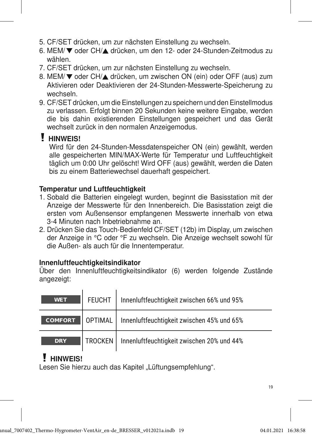- 5. CF/SET drücken, um zur nächsten Einstellung zu wechseln.
- 6. MEM/ voder CH/▲ drücken, um den 12- oder 24-Stunden-Zeitmodus zu wählen.
- 7. CF/SET drücken, um zur nächsten Einstellung zu wechseln.
- 8. MEM/▼ oder CH/▲ drücken, um zwischen ON (ein) oder OFF (aus) zum Aktivieren oder Deaktivieren der 24-Stunden-Messwerte-Speicherung zu wechseln.
- 9. CF/SET drücken, um die Einstellungen zu speichern und den Einstellmodus zu verlassen. Erfolgt binnen 20 Sekunden keine weitere Eingabe, werden die bis dahin existierenden Einstellungen gespeichert und das Gerät wechselt zurück in den normalen Anzeigemodus.

## **HINWEIS!**

 Wird für den 24-Stunden-Messdatenspeicher ON (ein) gewählt, werden alle gespeicherten MIN/MAX-Werte für Temperatur und Luftfeuchtigkeit täglich um 0:00 Uhr gelöscht! Wird OFF (aus) gewählt, werden die Daten bis zu einem Batteriewechsel dauerhaft gespeichert.

### Temperatur und Luftfeuchtigkeit

- 1. Sobald die Batterien eingelegt wurden, beginnt die Basisstation mit der Anzeige der Messwerte für den Innenbereich. Die Basisstation zeigt die ersten vom Außensensor empfangenen Messwerte innerhalb von etwa 3-4 Minuten nach Inbetriebnahme an.
- 2. Drücken Sie das Touch-Bedienfeld CF/SET (12b) im Display, um zwischen der Anzeige in °C oder °F zu wechseln. Die Anzeige wechselt sowohl für die Außen- als auch für die Innentemperatur.

### Innenluftfeuchtigkeitsindikator

Über den Innenluftfeuchtigkeitsindikator (6) werden folgende Zustände angezeigt:

| <b>WET</b>     | <b>FEUCHT</b>  | Innenluftfeuchtigkeit zwischen 66% und 95% |
|----------------|----------------|--------------------------------------------|
| <b>COMFORT</b> | <b>OPTIMAL</b> | Innenluftfeuchtigkeit zwischen 45% und 65% |
| <b>DRY</b>     | TROCKEN        | Innenluftfeuchtigkeit zwischen 20% und 44% |

# **HINWEIS!**

Lesen Sie hierzu auch das Kapitel "Lüftungsempfehlung".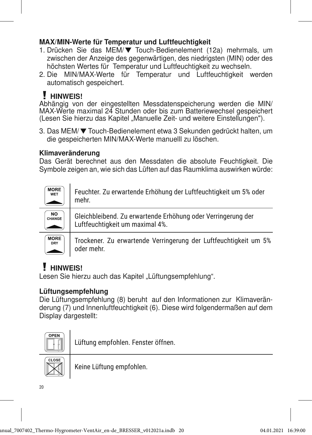### MAX/MIN-Werte für Temperatur und Luftfeuchtigkeit

- 1. Drücken Sie das MEM/ Touch-Bedienelement (12a) mehrmals, um zwischen der Anzeige des gegenwärtigen, des niedrigsten (MIN) oder des höchsten Wertes für Temperatur und Luftfeuchtigkeit zu wechseln.
- 2. Die MIN/MAX-Werte für Temperatur und Luftfeuchtigkeit werden automatisch gespeichert.

# **HINWEIS!**

Abhängig von der eingestellten Messdatenspeicherung werden die MIN/ MAX-Werte maximal 24 Stunden oder bis zum Batteriewechsel gespeichert (Lesen Sie hierzu das Kapitel "Manuelle Zeit- und weitere Einstellungen").

3. Das MEM/ Touch-Bedienelement etwa 3 Sekunden gedrückt halten, um die gespeicherten MIN/MAX-Werte manuelll zu löschen.

### Klimaveränderung

Das Gerät berechnet aus den Messdaten die absolute Feuchtigkeit. Die Symbole zeigen an, wie sich das Lüften auf das Raumklima auswirken würde:

| <b>MORE</b><br><b>WFT</b> | Feuchter. Zu erwartende Erhöhung der Luftfeuchtigkeit um 5% oder<br>mehr.                       |
|---------------------------|-------------------------------------------------------------------------------------------------|
| NO<br>CHANGE              | Gleichbleibend. Zu erwartende Erhöhung oder Verringerung der<br>Luftfeuchtigkeit um maximal 4%. |
| <b>MORE</b><br>DRY        | Trockener. Zu erwartende Verringerung der Luftfeuchtigkeit um 5%<br>oder mehr.                  |

# **HINWEIS!**

Lesen Sie hierzu auch das Kapitel "Lüftungsempfehlung".

### Lüftungsempfehlung

Die Lüftungsempfehlung (8) beruht auf den Informationen zur Klimaveränderung (7) und Innenluftfeuchtigkeit (6). Diese wird folgendermaßen auf dem Display dargestellt:



Lüftung empfohlen. Fenster öffnen.

Keine Lüftung empfohlen.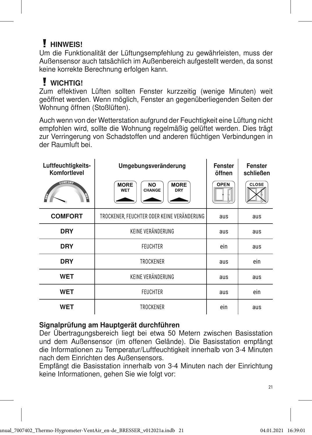# **HINWEIS!**

Um die Funktionalität der Lüftungsempfehlung zu gewährleisten, muss der Außensensor auch tatsächlich im Außenbereich aufgestellt werden, da sonst keine korrekte Berechnung erfolgen kann.

# **WICHTIG!**

Zum effektiven Lüften sollten Fenster kurzzeitig (wenige Minuten) weit geöffnet werden. Wenn möglich, Fenster an gegenüberliegenden Seiten der Wohnung öffnen (Stoßlüften).

Auch wenn von der Wetterstation aufgrund der Feuchtigkeit eine Lüftung nicht empfohlen wird, sollte die Wohnung regelmäßig gelüftet werden. Dies trägt zur Verringerung von Schadstoffen und anderen flüchtigen Verbindungen in der Raumluft bei.

| Luftfeuchtigkeits-<br>Komfortlevel<br><b>COMFORT</b><br>Ĥ<br>Ą | Umgebungsveränderung<br><b>MORE</b><br><b>MORE</b><br><b>NO</b><br>CHANGE<br><b>WET</b><br>DRY | Fenster<br>öffnen<br><b>OPEN</b> | <b>Fenster</b><br>schließen<br>CLOSE |
|----------------------------------------------------------------|------------------------------------------------------------------------------------------------|----------------------------------|--------------------------------------|
| <b>COMFORT</b>                                                 | TROCKENER, FEUCHTER ODER KEINE VERÄNDERUNG                                                     | aus                              | aus                                  |
| <b>DRY</b>                                                     | KEINE VERÄNDERUNG                                                                              |                                  | aus                                  |
| <b>DRY</b>                                                     | <b>FEUCHTER</b>                                                                                | ein                              | aus                                  |
| <b>DRY</b>                                                     | <b>TROCKENER</b>                                                                               | aus                              | ein                                  |
| <b>WET</b>                                                     | KEINE VERÄNDERUNG                                                                              | aus                              | aus                                  |
| <b>WET</b>                                                     | <b>FEUCHTER</b>                                                                                | aus                              | ein                                  |
| <b>WET</b>                                                     | TROCKENER                                                                                      | ein                              | aus                                  |

### Signalprüfung am Hauptgerät durchführen

Der Übertragungsbereich liegt bei etwa 50 Metern zwischen Basisstation und dem Außensensor (im offenen Gelände). Die Basisstation empfängt die Informationen zu Temperatur/Luftfeuchtigkeit innerhalb von 3-4 Minuten nach dem Einrichten des Außensensors.

Empfängt die Basisstation innerhalb von 3-4 Minuten nach der Einrichtung keine Informationen, gehen Sie wie folgt vor: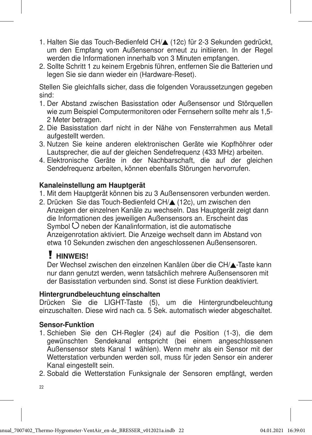- 1. Halten Sie das Touch-Bedienfeld CH/ $\triangle$  (12c) für 2-3 Sekunden gedrückt, um den Empfang vom Außensensor erneut zu initiieren. In der Regel werden die Informationen innerhalb von 3 Minuten empfangen.
- 2. Sollte Schritt 1 zu keinem Ergebnis führen, entfernen Sie die Batterien und legen Sie sie dann wieder ein (Hardware-Reset).

Stellen Sie gleichfalls sicher, dass die folgenden Voraussetzungen gegeben sind:

- 1. Der Abstand zwischen Basisstation oder Außensensor und Störquellen wie zum Beispiel Computermonitoren oder Fernsehern sollte mehr als 1,5- 2 Meter betragen.
- 2. Die Basisstation darf nicht in der Nähe von Fensterrahmen aus Metall aufgestellt werden.
- 3. Nutzen Sie keine anderen elektronischen Geräte wie Kopfhöhrer oder Lautsprecher, die auf der gleichen Sendefrequenz (433 MHz) arbeiten.
- 4. Elektronische Geräte in der Nachbarschaft, die auf der gleichen Sendefrequenz arbeiten, können ebenfalls Störungen hervorrufen.

### Kanaleinstellung am Hauptgerät

- 1. Mit dem Hauptgerät können bis zu 3 Außensensoren verbunden werden.
- 2. Drücken Sie das Touch-Bedienfeld CH/▲ (12c), um zwischen den Anzeigen der einzelnen Kanäle zu wechseln. Das Hauptgerät zeigt dann die Informationen des jeweiligen Außensensors an. Erscheint das Symbol  $\bigcirc$  neben der Kanalinformation, ist die automatische Anzeigenrotation aktiviert. Die Anzeige wechselt dann im Abstand von etwa 10 Sekunden zwischen den angeschlossenen Außensensoren.

## **HINWEIS!**

Der Wechsel zwischen den einzelnen Kanälen über die CH/▲-Taste kann nur dann genutzt werden, wenn tatsächlich mehrere Außensensoren mit der Basisstation verbunden sind. Sonst ist diese Funktion deaktiviert.

### Hintergrundbeleuchtung einschalten

Drücken Sie die LIGHT-Taste (5), um die Hintergrundbeleuchtung einzuschalten. Diese wird nach ca. 5 Sek. automatisch wieder abgeschaltet.

### Sensor-Funktion

1. Schieben Sie den CH-Regler (24) auf die Position (1-3), die dem gewünschten Sendekanal entspricht (bei einem angeschlossenen Außensensor stets Kanal 1 wählen). Wenn mehr als ein Sensor mit der Wetterstation verbunden werden soll, muss für jeden Sensor ein anderer Kanal eingestellt sein.

2. Sobald die Wetterstation Funksignale der Sensoren empfängt, werden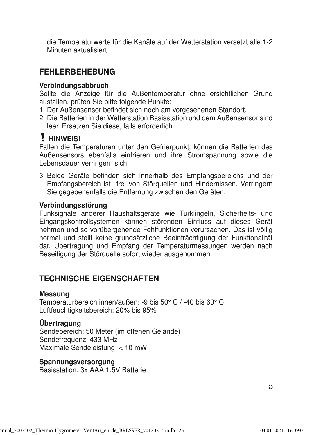die Temperaturwerte für die Kanäle auf der Wetterstation versetzt alle 1-2 Minuten aktualisiert.

## FFHI FRBFHFBUNG

#### Verbindungsabbruch

Sollte die Anzeige für die Außentemperatur ohne ersichtlichen Grund ausfallen, prüfen Sie bitte folgende Punkte:

- 1. Der Außensensor befindet sich noch am vorgesehenen Standort.
- 2. Die Batterien in der Wetterstation Basisstation und dem Außensensor sind leer. Ersetzen Sie diese, falls erforderlich.

## **HINWEIS!**

Fallen die Temperaturen unter den Gefrierpunkt, können die Batterien des Außensensors ebenfalls einfrieren und ihre Stromspannung sowie die Lebensdauer verringern sich.

3. Beide Geräte befinden sich innerhalb des Empfangsbereichs und der Empfangsbereich ist frei von Störquellen und Hindernissen. Verringern Sie gegebenenfalls die Entfernung zwischen den Geräten.

#### Verbindungsstörung

Funksignale anderer Haushaltsgeräte wie Türklingeln, Sicherheits- und Eingangskontrollsystemen können störenden Einfluss auf dieses Gerät nehmen und so vorübergehende Fehlfunktionen verursachen. Das ist völlig normal und stellt keine grundsätzliche Beeinträchtigung der Funktionalität dar. Übertragung und Empfang der Temperaturmessungen werden nach Beseitigung der Störquelle sofort wieder ausgenommen.

### TECHNISCHE EIGENSCHAFTEN

#### Messung

Temperaturbereich innen/außen: -9 bis 50° C / -40 bis 60° C Luftfeuchtigkeitsbereich: 20% bis 95%

### **Übertragung**

Sendebereich: 50 Meter (im offenen Gelände) Sendefrequenz: 433 MHz Maximale Sendeleistung: < 10 mW

Spannungsversorgung Basisstation: 3x AAA 1.5V Batterie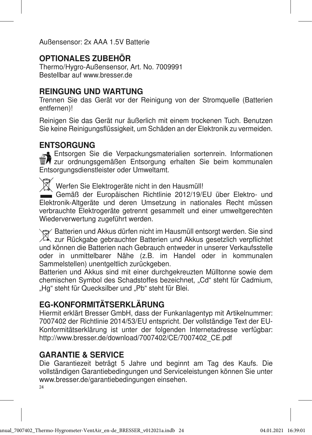Außensensor: 2x AAA 1.5V Batterie

## OPTIONALES ZUBEHÖR

Thermo/Hygro-Außensensor, Art. No. 7009991 Bestellbar auf www.bresser.de

### REINGUNG UND WARTUNG

Trennen Sie das Gerät vor der Reinigung von der Stromquelle (Batterien entfernen)!

Reinigen Sie das Gerät nur äußerlich mit einem trockenen Tuch. Benutzen Sie keine Reinigungsflüssigkeit, um Schäden an der Elektronik zu vermeiden.

## **ENTSORGUNG**

Entsorgen Sie die Verpackungsmaterialien sortenrein. Informationen **The Entire State metallisher Entsorgung erhalten Sie beim kommunalen** Entsorgungsdienstleister oder Umweltamt.

Werfen Sie Elektrogeräte nicht in den Hausmüll!

Gemäß der Europäischen Richtlinie 2012/19/EU über Elektro- und Elektronik-Altgeräte und deren Umsetzung in nationales Recht müssen verbrauchte Elektrogeräte getrennt gesammelt und einer umweltgerechten Wiederverwertung zugeführt werden.

Batterien und Akkus dürfen nicht im Hausmüll entsorgt werden. Sie sind  $\mathbb{X}$  zur Rückgabe gebrauchter Batterien und Akkus gesetzlich verpflichtet und können die Batterien nach Gebrauch entweder in unserer Verkaufsstelle oder in unmittelbarer Nähe (z.B. im Handel oder in kommunalen Sammelstellen) unentgeltlich zurückgeben.

Batterien und Akkus sind mit einer durchgekreuzten Mülltonne sowie dem chemischen Symbol des Schadstoffes bezeichnet, "Cd" steht für Cadmium, "Hg" steht für Quecksilber und "Pb" steht für Blei.

## EG-KONFORMITÄTSERKLÄRUNG

Hiermit erklärt Bresser GmbH, dass der Funkanlagentyp mit Artikelnummer: 7007402 der Richtlinie 2014/53/EU entspricht. Der vollständige Text der EU-Konformitätserklärung ist unter der folgenden Internetadresse verfügbar: http://www.bresser.de/download/7007402/CE/7007402\_CE.pdf

### GARANTIE & SERVICE

Die Garantiezeit beträgt 5 Jahre und beginnt am Tag des Kaufs. Die vollständigen Garantiebedingungen und Serviceleistungen können Sie unter www.bresser.de/garantiebedingungen einsehen.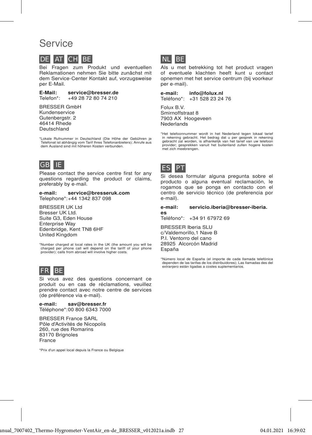## Service



Bei Fragen zum Produkt und eventuellen Reklamationen nehmen Sie bitte zunächst mit dem Service-Center Kontakt auf, vorzugsweise per E-Mail.

E-Mail: service@bresser.de<br>Telefon\*: +49 28 72 80 74 210 +49 28 72 80 74 210

BRESSER GmbH Kundenservice Gutenbergstr. 2 46414 Rhede Deutschland

\* Lokale Rufnummer in Deutschland (Die Höhe der Gebühren je Telefonat ist abhängig vom Tarif Ihres Telefonanbieters); Anrufe aus dem Ausland sind mit höheren Kosten verbunden.



Please contact the service centre first for any questions regarding the product or claims, preferably by e-mail.

e-mail: service@bresseruk.com Telephone\*:+44 1342 837 098

BRESSER UK Ltd Bresser UK Ltd. Suite G3, Eden House Enterprise Way Edenbridge, Kent TN8 6HF United Kingdom

\* Number charged at local rates in the UK (the amount you will be charged per phone call will depend on the tariff of your phone provider); calls from abroad will involve higher costs.



Si vous avez des questions concernant ce produit ou en cas de réclamations, veuillez prendre contact avec notre centre de services (de préférence via e-mail).

e-mail: sav@bresser.fr Téléphone\*:00 800 6343 7000

BRESSER France SARL Pôle d'Activités de Nicopolis 260, rue des Romarins 83170 Brignoles France

\* Prix d'un appel local depuis la France ou Belgique



Als u met betrekking tot het product vragen of eventuele klachten heeft kunt u contact opnemen met het service centrum (bij voorkeur per e-mail).

e-mail: info@folux.nl Teléfono\*: +31 528 23 24 76

Folux B.V. Smirnoffstraat 8 7903 AX Hoogeveen Nederlands

\*Het telefoonnummer wordt in het Nederland tegen lokaal tarief in rekening gebracht. Het bedrag dat u per gesprek in rekening gebracht zal worden, is afhankelijk van het tarief van uw telefoon provider; gesprekken vanuit het buitenland zullen hogere kosten met zich meebrengen.



Si desea formular alguna pregunta sobre el producto o alguna eventual reclamación, le rogamos que se ponga en contacto con el centro de servicio técnico (de preferencia por e-mail).

#### e-mail: servicio.iberia@bresser-iberia. es

Teléfono\*: +34 91 67972 69

BRESSER Iberia SLU c/Valdemorillo,1 Nave B P.I. Ventorro del cano 28925 Alcorcón Madrid España

\* Número local de España (el importe de cada llamada telefónica dependen de las tarifas de los distribuidores); Las llamadas des del extranjero están ligadas a costes suplementarios.